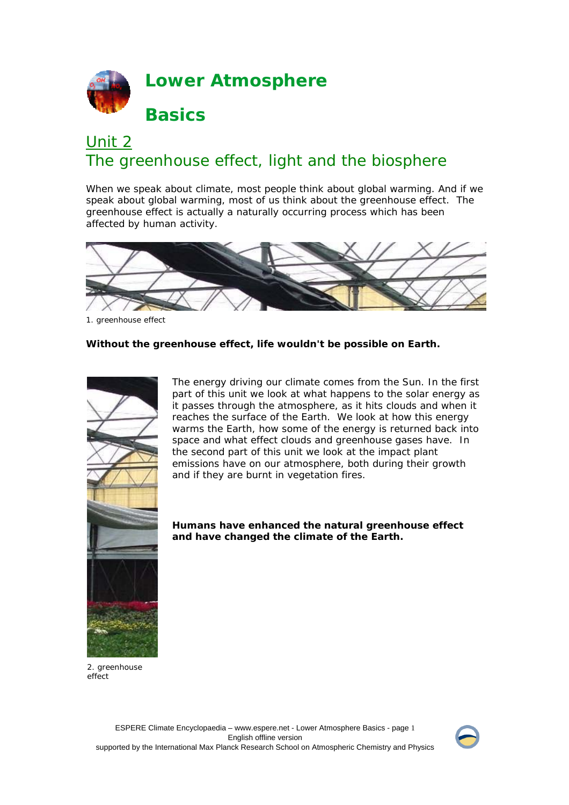

# Unit 2 The greenhouse effect, light and the biosphere

When we speak about climate, most people think about global warming. And if we speak about global warming, most of us think about the greenhouse effect. The greenhouse effect is actually a naturally occurring process which has been affected by human activity.



1. greenhouse effect

### **Without the greenhouse effect, life wouldn't be possible on Earth.**



The energy driving our climate comes from the Sun. In the first part of this unit we look at what happens to the solar energy as it passes through the atmosphere, as it hits clouds and when it reaches the surface of the Earth. We look at how this energy warms the Earth, how some of the energy is returned back into space and what effect clouds and greenhouse gases have. In the second part of this unit we look at the impact plant emissions have on our atmosphere, both during their growth and if they are burnt in vegetation fires.

**Humans have enhanced the natural greenhouse effect and have changed the climate of the Earth.** 

2. greenhouse effect

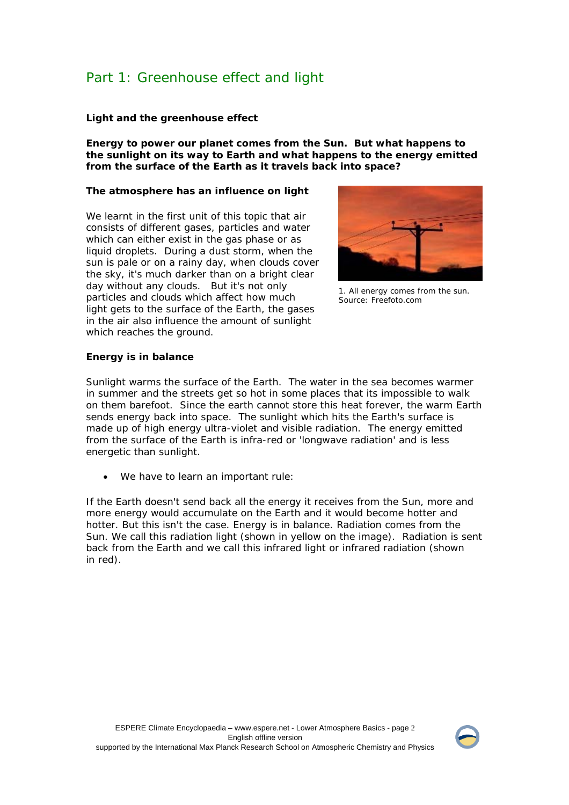# Part 1: Greenhouse effect and light

#### **Light and the greenhouse effect**

**Energy to power our planet comes from the Sun. But what happens to the sunlight on its way to Earth and what happens to the energy emitted from the surface of the Earth as it travels back into space?**

#### **The atmosphere has an influence on light**

We learnt in the first unit of this topic that air consists of different gases, particles and water which can either exist in the gas phase or as liquid droplets. During a dust storm, when the sun is pale or on a rainy day, when clouds cover the sky, it's much darker than on a bright clear day without any clouds. But it's not only particles and clouds which affect how much light gets to the surface of the Earth, the gases in the air also influence the amount of sunlight which reaches the ground.



1. All energy comes from the sun. Source: Freefoto.com

### **Energy is in balance**

Sunlight warms the surface of the Earth. The water in the sea becomes warmer in summer and the streets get so hot in some places that its impossible to walk on them barefoot. Since the earth cannot store this heat forever, the warm Earth sends energy back into space. The sunlight which hits the Earth's surface is made up of high energy ultra-violet and visible radiation. The energy emitted from the surface of the Earth is infra-red or 'longwave radiation' and is less energetic than sunlight.

We have to learn an important rule:

If the Earth doesn't send back all the energy it receives from the Sun, more and more energy would accumulate on the Earth and it would become hotter and hotter. But this isn't the case. Energy is in balance. Radiation comes from the Sun. We call this radiation light (shown in yellow on the image). Radiation is sent back from the Earth and we call this infrared light or infrared radiation (shown in red).

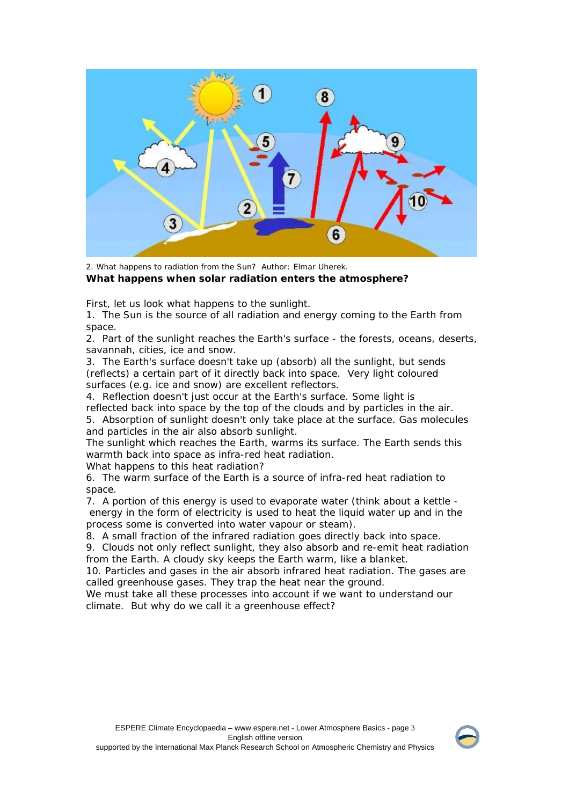

2. What happens to radiation from the Sun? Author: Elmar Uherek. **What happens when solar radiation enters the atmosphere?** 

First, let us look what happens to the sunlight.

1. The Sun is the source of all radiation and energy coming to the Earth from space.

2. Part of the sunlight reaches the Earth's surface - the forests, oceans, deserts, savannah, cities, ice and snow.

3. The Earth's surface doesn't take up (absorb) all the sunlight, but sends (reflects) a certain part of it directly back into space. Very light coloured surfaces (e.g. ice and snow) are excellent reflectors.

4. Reflection doesn't just occur at the Earth's surface. Some light is reflected back into space by the top of the clouds and by particles in the air. 5. Absorption of sunlight doesn't only take place at the surface. Gas molecules and particles in the air also absorb sunlight.

The sunlight which reaches the Earth, warms its surface. The Earth sends this warmth back into space as infra-red heat radiation.

What happens to this heat radiation?

6. The warm surface of the Earth is a source of infra-red heat radiation to space.

7. A portion of this energy is used to evaporate water (think about a kettle energy in the form of electricity is used to heat the liquid water up and in the process some is converted into water vapour or steam).

8.A small fraction of the infrared radiation goes directly back into space.

9. Clouds not only reflect sunlight, they also absorb and re-emit heat radiation from the Earth. A cloudy sky keeps the Earth warm, like a blanket.

10. Particles and gases in the air absorb infrared heat radiation. The gases are called greenhouse gases. They trap the heat near the ground.

We must take all these processes into account if we want to understand our climate. But why do we call it a greenhouse effect?

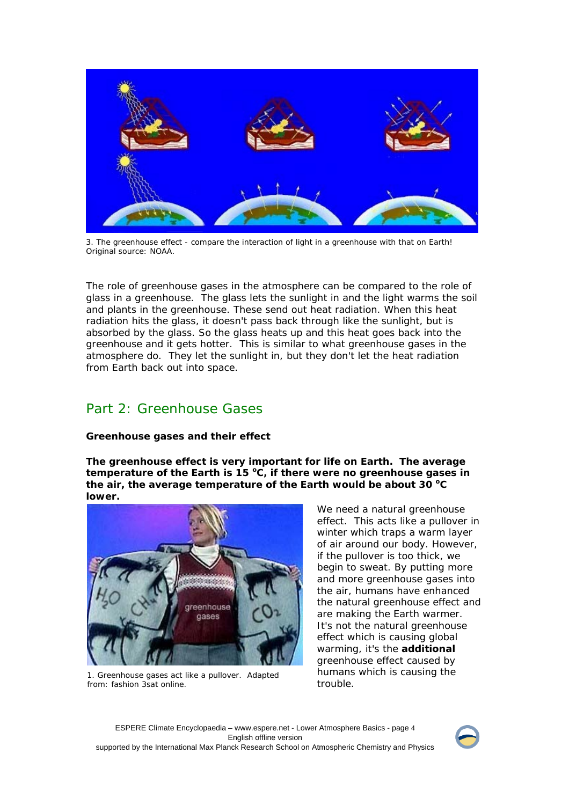

3. The greenhouse effect - compare the interaction of light in a greenhouse with that on Earth! Original source: NOAA.

The role of greenhouse gases in the atmosphere can be compared to the role of glass in a greenhouse. The glass lets the sunlight in and the light warms the soil and plants in the greenhouse. These send out heat radiation. When this heat radiation hits the glass, it doesn't pass back through like the sunlight, but is absorbed by the glass. So the glass heats up and this heat goes back into the greenhouse and it gets hotter. This is similar to what greenhouse gases in the atmosphere do. They let the sunlight in, but they don't let the heat radiation from Earth back out into space.

# Part 2: Greenhouse Gases

## **Greenhouse gases and their effect**

**The greenhouse effect is very important for life on Earth. The average**  temperature of the Earth is 15 °C, if there were no greenhouse gases in the air, the average temperature of the Earth would be about 30 °C **lower.** 



1. Greenhouse gases act like a pullover. Adapted from: fashion 3sat online.

We need a natural greenhouse effect. This acts like a pullover in winter which traps a warm layer of air around our body. However, if the pullover is too thick, we begin to sweat. By putting more and more greenhouse gases into the air, humans have enhanced the natural greenhouse effect and are making the Earth warmer. It's not the natural greenhouse effect which is causing global warming, it's the **additional** greenhouse effect caused by humans which is causing the trouble.

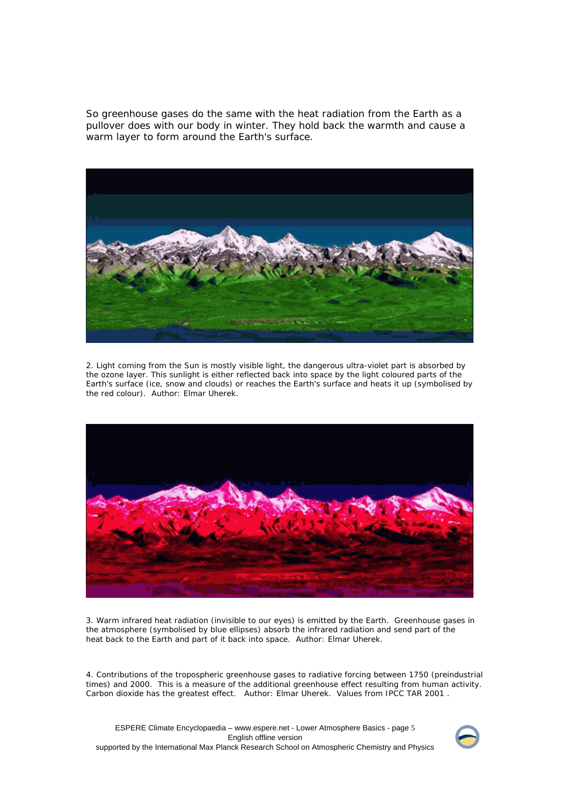So greenhouse gases do the same with the heat radiation from the Earth as a pullover does with our body in winter. They hold back the warmth and cause a warm layer to form around the Earth's surface.



2. Light coming from the Sun is mostly visible light, the dangerous ultra-violet part is absorbed by the ozone layer. This sunlight is either reflected back into space by the light coloured parts of the Earth's surface (ice, snow and clouds) or reaches the Earth's surface and heats it up (symbolised by the red colour). Author: Elmar Uherek.



3. Warm infrared heat radiation (invisible to our eyes) is emitted by the Earth. Greenhouse gases in the atmosphere (symbolised by blue ellipses) absorb the infrared radiation and send part of the heat back to the Earth and part of it back into space. Author: Elmar Uherek.

4. Contributions of the tropospheric greenhouse gases to radiative forcing between 1750 (preindustrial times) and 2000. This is a measure of the additional greenhouse effect resulting from human activity. Carbon dioxide has the greatest effect. Author: Elmar Uherek. Values from IPCC TAR 2001 .



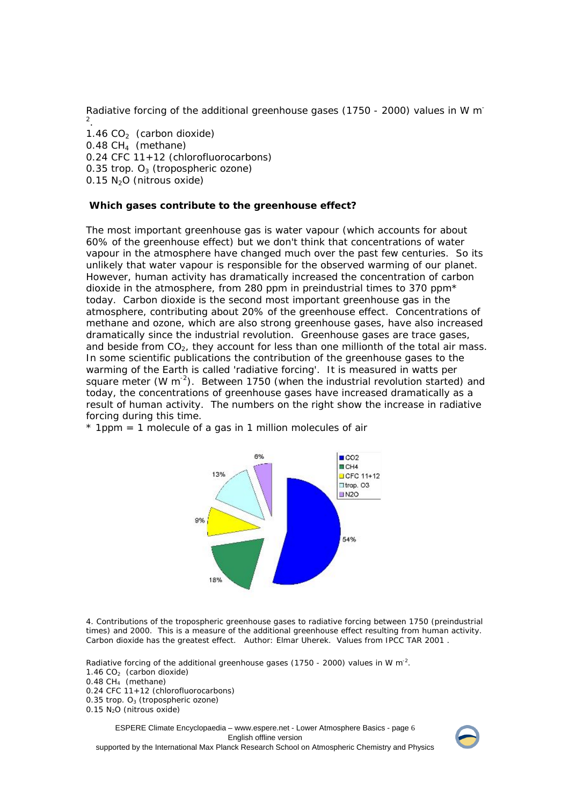Radiative forcing of the additional greenhouse gases (1750 - 2000) values in W m-2 .

1.46  $CO<sub>2</sub>$  (carbon dioxide)  $0.48$  CH<sub>4</sub> (methane) 0.24 CFC 11+12 (chlorofluorocarbons) 0.35 trop.  $O_3$  (tropospheric ozone)  $0.15$  N<sub>2</sub>O (nitrous oxide)

#### **Which gases contribute to the greenhouse effect?**

The most important greenhouse gas is water vapour (which accounts for about 60% of the greenhouse effect) but we don't think that concentrations of water vapour in the atmosphere have changed much over the past few centuries. So its unlikely that water vapour is responsible for the observed warming of our planet. However, human activity has dramatically increased the concentration of carbon dioxide in the atmosphere, from 280 ppm in preindustrial times to 370 ppm $*$ today. Carbon dioxide is the second most important greenhouse gas in the atmosphere, contributing about 20% of the greenhouse effect. Concentrations of methane and ozone, which are also strong greenhouse gases, have also increased dramatically since the industrial revolution. Greenhouse gases are trace gases, and beside from  $CO<sub>2</sub>$ , they account for less than one millionth of the total air mass. In some scientific publications the contribution of the greenhouse gases to the warming of the Earth is called 'radiative forcing'. It is measured in watts per square meter (W  $m^{-2}$ ). Between 1750 (when the industrial revolution started) and today, the concentrations of greenhouse gases have increased dramatically as a result of human activity. The numbers on the right show the increase in radiative forcing during this time.

 $*$  1ppm = 1 molecule of a gas in 1 million molecules of air



4. Contributions of the tropospheric greenhouse gases to radiative forcing between 1750 (preindustrial times) and 2000. This is a measure of the additional greenhouse effect resulting from human activity. Carbon dioxide has the greatest effect. Author: Elmar Uherek. Values from IPCC TAR 2001 .

Radiative forcing of the additional greenhouse gases (1750 - 2000) values in W m<sup>-2</sup>. 1.46  $CO<sub>2</sub>$  (carbon dioxide) 0.48 CH4 (methane) 0.24 CFC 11+12 (chlorofluorocarbons) 0.35 trop.  $O_3$  (tropospheric ozone)  $0.15$  N<sub>2</sub>O (nitrous oxide)

ESPERE Climate Encyclopaedia – www.espere.net - Lower Atmosphere Basics - page 6 English offline version supported by the International Max Planck Research School on Atmospheric Chemistry and Physics

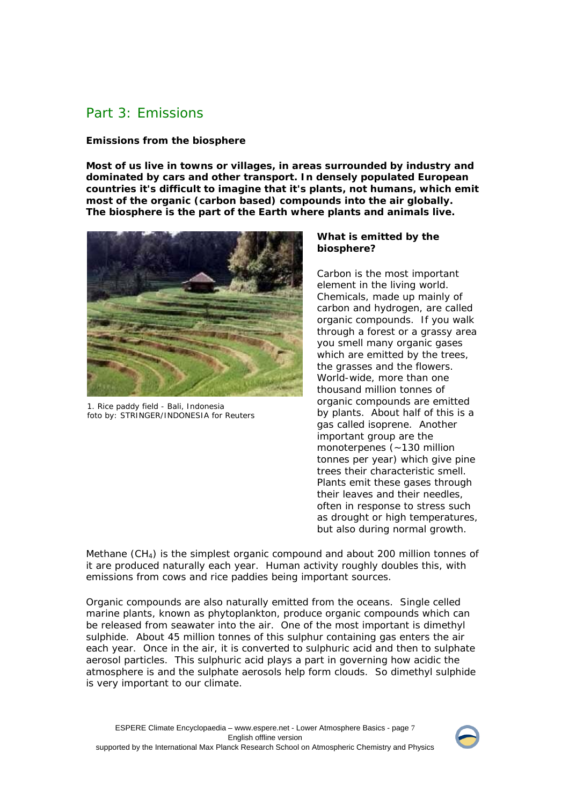# Part 3: Emissions

### **Emissions from the biosphere**

**Most of us live in towns or villages, in areas surrounded by industry and dominated by cars and other transport. In densely populated European countries it's difficult to imagine that it's plants, not humans, which emit most of the organic (carbon based) compounds into the air globally. The biosphere is the part of the Earth where plants and animals live.**



1. Rice paddy field - Bali, Indonesia foto by: STRINGER/INDONESIA for Reuters

#### **What is emitted by the biosphere?**

Carbon is the most important element in the living world. Chemicals, made up mainly of carbon and hydrogen, are called organic compounds. If you walk through a forest or a grassy area you smell many organic gases which are emitted by the trees, the grasses and the flowers. World-wide, more than one thousand million tonnes of organic compounds are emitted by plants. About half of this is a gas called isoprene. Another important group are the monoterpenes (~130 million tonnes per year) which give pine trees their characteristic smell. Plants emit these gases through their leaves and their needles, often in response to stress such as drought or high temperatures, but also during normal growth.

Methane  $(CH<sub>4</sub>)$  is the simplest organic compound and about 200 million tonnes of it are produced naturally each year. Human activity roughly doubles this, with emissions from cows and rice paddies being important sources.

Organic compounds are also naturally emitted from the oceans. Single celled marine plants, known as phytoplankton, produce organic compounds which can be released from seawater into the air. One of the most important is dimethyl sulphide. About 45 million tonnes of this sulphur containing gas enters the air each year. Once in the air, it is converted to sulphuric acid and then to sulphate aerosol particles. This sulphuric acid plays a part in governing how acidic the atmosphere is and the sulphate aerosols help form clouds. So dimethyl sulphide is very important to our climate.

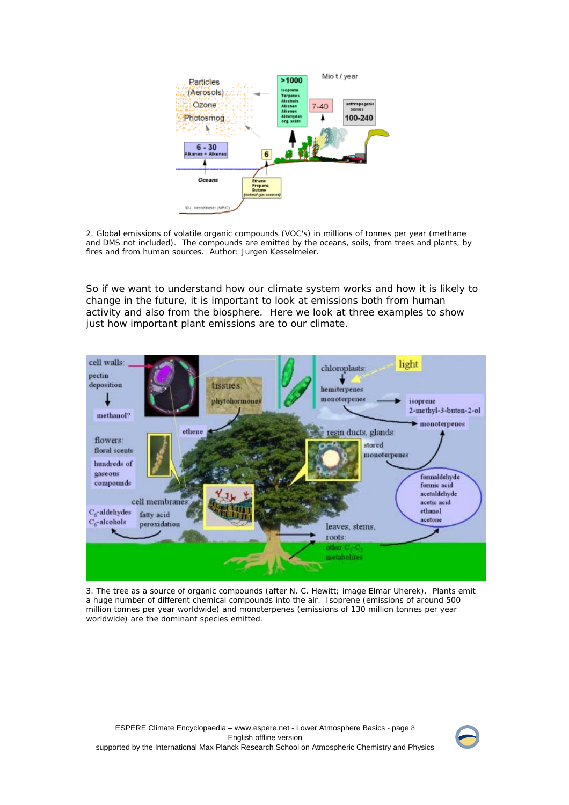

2. Global emissions of volatile organic compounds (VOC's) in millions of tonnes per year (methane and DMS not included). The compounds are emitted by the oceans, soils, from trees and plants, by fires and from human sources. Author: Jurgen Kesselmeier.

So if we want to understand how our climate system works and how it is likely to change in the future, it is important to look at emissions both from human activity and also from the biosphere. Here we look at three examples to show just how important plant emissions are to our climate.



3. The tree as a source of organic compounds (after N. C. Hewitt; image Elmar Uherek). Plants emit a huge number of different chemical compounds into the air. Isoprene (emissions of around 500 million tonnes per year worldwide) and monoterpenes (emissions of 130 million tonnes per year worldwide) are the dominant species emitted.

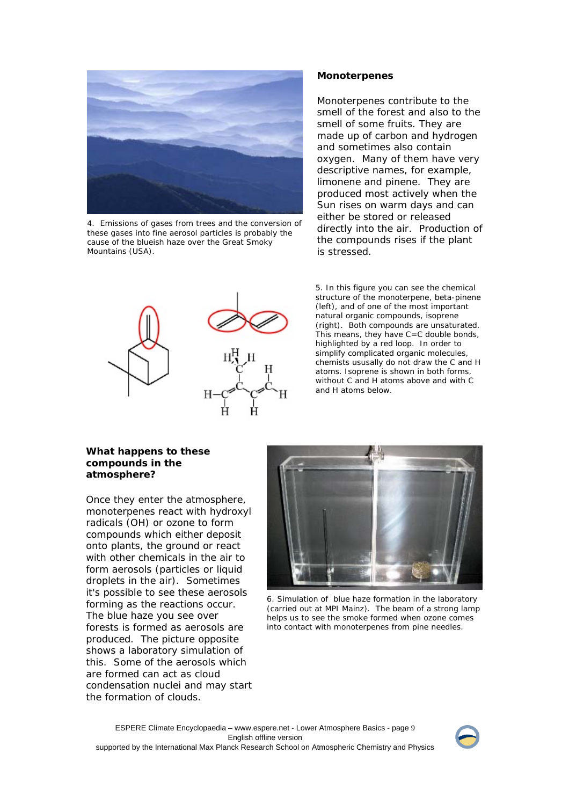

4. Emissions of gases from trees and the conversion of these gases into fine aerosol particles is probably the cause of the blueish haze over the Great Smoky Mountains (USA).

#### **Monoterpenes**

Monoterpenes contribute to the smell of the forest and also to the smell of some fruits. They are made up of carbon and hydrogen and sometimes also contain oxygen. Many of them have very descriptive names, for example, limonene and pinene. They are produced most actively when the Sun rises on warm days and can either be stored or released directly into the air. Production of the compounds rises if the plant is stressed.



5. In this figure you can see the chemical structure of the monoterpene, beta-pinene (left), and of one of the most important natural organic compounds, isoprene (right). Both compounds are unsaturated. This means, they have C=C double bonds, highlighted by a red loop. In order to simplify complicated organic molecules, chemists ususally do not draw the C and H atoms. Isoprene is shown in both forms, without C and H atoms above and with C and H atoms below.

#### **What happens to these compounds in the atmosphere?**

Once they enter the atmosphere, monoterpenes react with hydroxyl radicals (OH) or ozone to form compounds which either deposit onto plants, the ground or react with other chemicals in the air to form aerosols (particles or liquid droplets in the air). Sometimes it's possible to see these aerosols forming as the reactions occur. The blue haze you see over forests is formed as aerosols are produced. The picture opposite shows a laboratory simulation of this. Some of the aerosols which are formed can act as cloud condensation nuclei and may start the formation of clouds.



6. Simulation of blue haze formation in the laboratory (carried out at MPI Mainz). The beam of a strong lamp helps us to see the smoke formed when ozone comes into contact with monoterpenes from pine needles.

ESPERE Climate Encyclopaedia – www.espere.net - Lower Atmosphere Basics - page 9 English offline version supported by the International Max Planck Research School on Atmospheric Chemistry and Physics

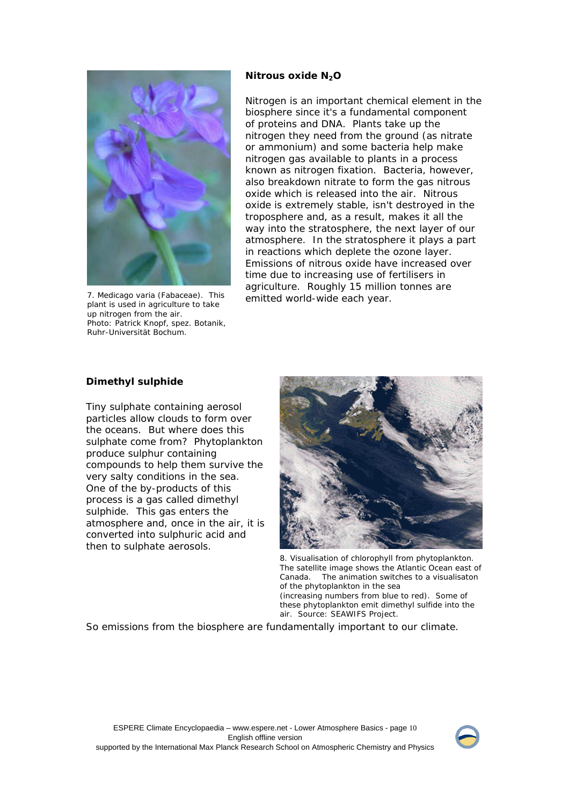

7. Medicago varia (Fabaceae). This plant is used in agriculture to take up nitrogen from the air. Photo: Patrick Knopf, spez. Botanik, Ruhr-Universität Bochum.

#### **Nitrous oxide N2O**

Nitrogen is an important chemical element in the biosphere since it's a fundamental component of proteins and DNA. Plants take up the nitrogen they need from the ground (as nitrate or ammonium) and some bacteria help make nitrogen gas available to plants in a process known as nitrogen fixation. Bacteria, however, also breakdown nitrate to form the gas nitrous oxide which is released into the air. Nitrous oxide is extremely stable, isn't destroyed in the troposphere and, as a result, makes it all the way into the stratosphere, the next layer of our atmosphere. In the stratosphere it plays a part in reactions which deplete the ozone layer. Emissions of nitrous oxide have increased over time due to increasing use of fertilisers in agriculture. Roughly 15 million tonnes are emitted world-wide each year.

#### **Dimethyl sulphide**

Tiny sulphate containing aerosol particles allow clouds to form over the oceans. But where does this sulphate come from? Phytoplankton produce sulphur containing compounds to help them survive the very salty conditions in the sea. One of the by-products of this process is a gas called dimethyl sulphide. This gas enters the atmosphere and, once in the air, it is converted into sulphuric acid and then to sulphate aerosols.



 8. Visualisation of chlorophyll from phytoplankton. The satellite image shows the Atlantic Ocean east of Canada. The animation switches to a visualisaton of the phytoplankton in the sea (increasing numbers from blue to red). Some of

these phytoplankton emit dimethyl sulfide into the air. Source: SEAWIFS Project.

So emissions from the biosphere are fundamentally important to our climate.

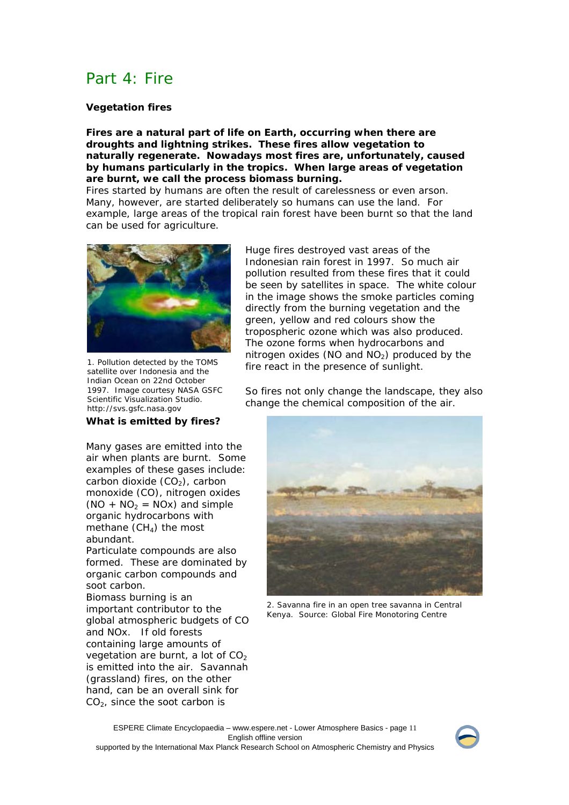# Part 4: Fire

### **Vegetation fires**

**Fires are a natural part of life on Earth, occurring when there are droughts and lightning strikes. These fires allow vegetation to naturally regenerate. Nowadays most fires are, unfortunately, caused by humans particularly in the tropics. When large areas of vegetation are burnt, we call the process biomass burning.**

Fires started by humans are often the result of carelessness or even arson. Many, however, are started deliberately so humans can use the land. For example, large areas of the tropical rain forest have been burnt so that the land can be used for agriculture.



1. Pollution detected by the TOMS satellite over Indonesia and the Indian Ocean on 22nd October 1997. Image courtesy NASA GSFC Scientific Visualization Studio. http://svs.gsfc.nasa.gov

#### **What is emitted by fires?**

Many gases are emitted into the air when plants are burnt. Some examples of these gases include: carbon dioxide  $(CO<sub>2</sub>)$ , carbon monoxide (CO), nitrogen oxides  $(NO + NO<sub>2</sub> = NOx)$  and simple organic hydrocarbons with methane  $(CH<sub>4</sub>)$  the most abundant.

Particulate compounds are also formed. These are dominated by organic carbon compounds and soot carbon.

Biomass burning is an important contributor to the global atmospheric budgets of CO and NOx. If old forests containing large amounts of vegetation are burnt, a lot of  $CO<sub>2</sub>$ is emitted into the air. Savannah (grassland) fires, on the other hand, can be an overall sink for  $CO<sub>2</sub>$ , since the soot carbon is

Huge fires destroyed vast areas of the Indonesian rain forest in 1997. So much air pollution resulted from these fires that it could be seen by satellites in space. The white colour in the image shows the smoke particles coming directly from the burning vegetation and the green, yellow and red colours show the tropospheric ozone which was also produced. The ozone forms when hydrocarbons and nitrogen oxides (NO and  $NO<sub>2</sub>$ ) produced by the fire react in the presence of sunlight.

So fires not only change the landscape, they also change the chemical composition of the air.



2. Savanna fire in an open tree savanna in Central Kenya. Source: Global Fire Monotoring Centre

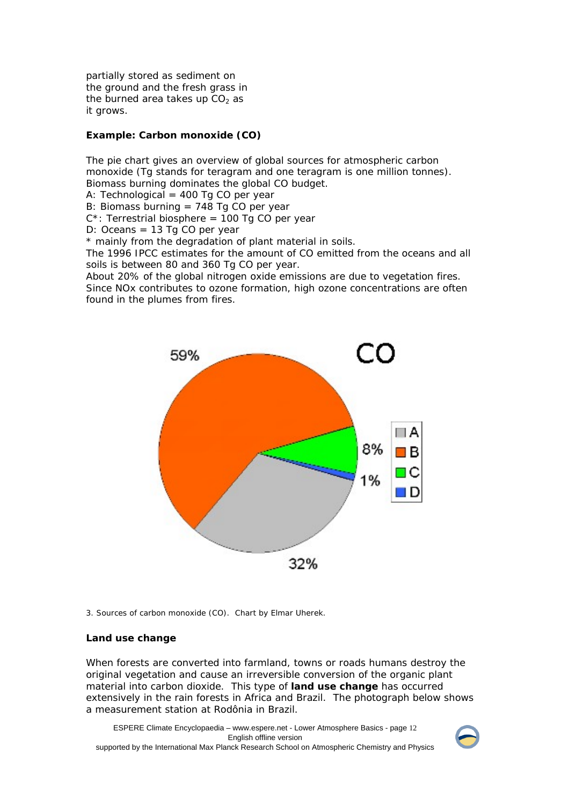partially stored as sediment on the ground and the fresh grass in the burned area takes up  $CO<sub>2</sub>$  as it grows.

#### **Example: Carbon monoxide (CO)**

The pie chart gives an overview of global sources for atmospheric carbon monoxide (Tg stands for teragram and one teragram is one million tonnes). Biomass burning dominates the global CO budget. A: Technological =  $400$  Tg CO per year

B: Biomass burning = 748 Tg CO per year

 $C^*$ : Terrestrial biosphere = 100 Tg CO per year

D: Oceans = 13 Tg CO per year

\* mainly from the degradation of plant material in soils.

The 1996 IPCC estimates for the amount of CO emitted from the oceans and all soils is between 80 and 360 Tg CO per year.

About 20% of the global nitrogen oxide emissions are due to vegetation fires. Since NOx contributes to ozone formation, high ozone concentrations are often found in the plumes from fires.



3. Sources of carbon monoxide (CO). Chart by Elmar Uherek.

#### **Land use change**

When forests are converted into farmland, towns or roads humans destroy the original vegetation and cause an irreversible conversion of the organic plant material into carbon dioxide. This type of **land use change** has occurred extensively in the rain forests in Africa and Brazil. The photograph below shows a measurement station at Rodônia in Brazil.

ESPERE Climate Encyclopaedia – www.espere.net - Lower Atmosphere Basics - page 12 English offline version supported by the International Max Planck Research School on Atmospheric Chemistry and Physics

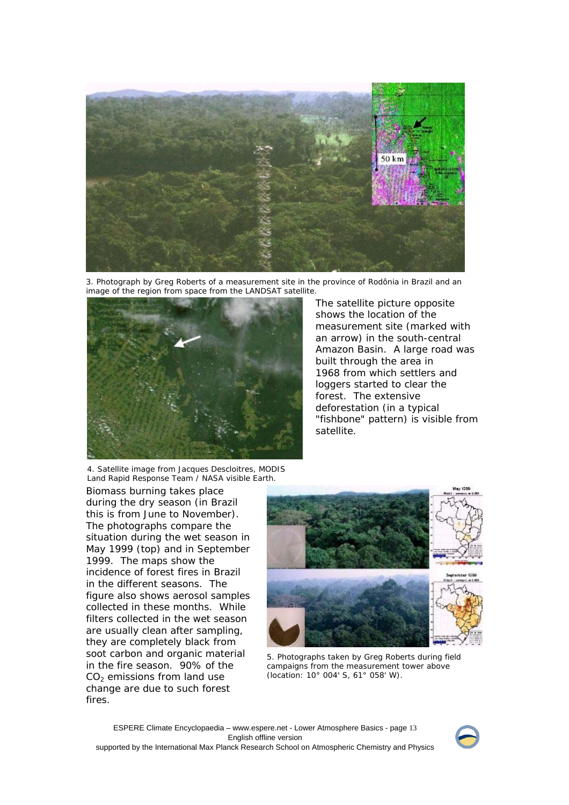

3. Photograph by Greg Roberts of a measurement site in the province of Rodônia in Brazil and an image of the region from space from the LANDSAT satellite.



The satellite picture opposite shows the location of the measurement site (marked with an arrow) in the south-central Amazon Basin. A large road was built through the area in 1968 from which settlers and loggers started to clear the forest. The extensive deforestation (in a typical "fishbone" pattern) is visible from satellite.

4. Satellite image from Jacques Descloitres, MODIS Land Rapid Response Team / NASA visible Earth.

Biomass burning takes place during the dry season (in Brazil this is from June to November). The photographs compare the situation during the wet season in May 1999 (top) and in September 1999. The maps show the incidence of forest fires in Brazil in the different seasons. The figure also shows aerosol samples collected in these months. While filters collected in the wet season are usually clean after sampling, they are completely black from soot carbon and organic material in the fire season. 90% of the  $CO<sub>2</sub>$  emissions from land use change are due to such forest fires.



5. Photographs taken by Greg Roberts during field campaigns from the measurement tower above (location: 10° 004' S, 61° 058' W).

ESPERE Climate Encyclopaedia – www.espere.net - Lower Atmosphere Basics - page 13 English offline version supported by the International Max Planck Research School on Atmospheric Chemistry and Physics